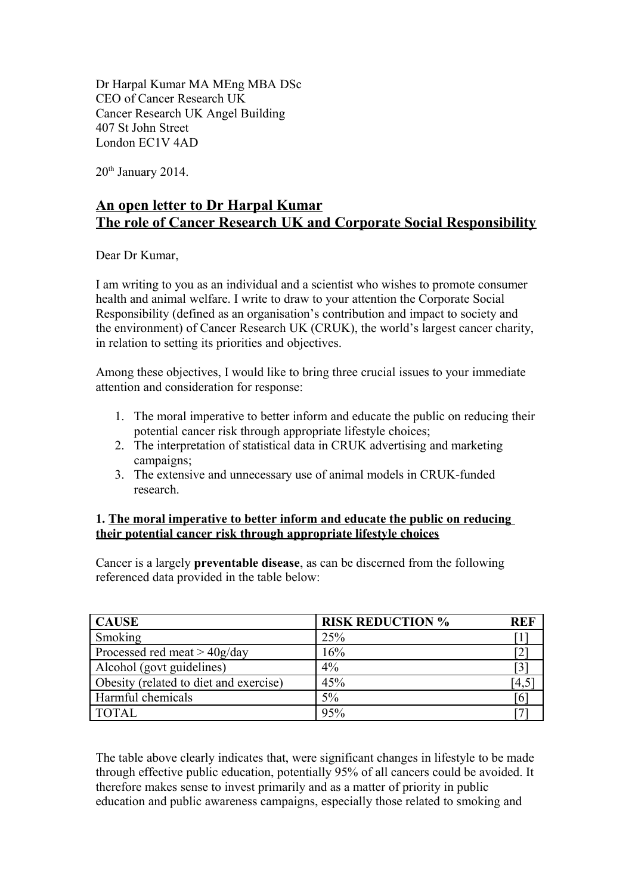Dr Harpal Kumar MA MEng MBA DSc CEO of Cancer Research UK Cancer Research UK Angel Building 407 St John Street London EC1V 4AD

 $20<sup>th</sup>$  January 2014.

# **An open letter to Dr Harpal Kumar The role of Cancer Research UK and Corporate Social Responsibility**

Dear Dr Kumar,

I am writing to you as an individual and a scientist who wishes to promote consumer health and animal welfare. I write to draw to your attention the Corporate Social Responsibility (defined as an organisation's contribution and impact to society and the environment) of Cancer Research UK (CRUK), the world's largest cancer charity, in relation to setting its priorities and objectives.

Among these objectives, I would like to bring three crucial issues to your immediate attention and consideration for response:

- 1. The moral imperative to better inform and educate the public on reducing their potential cancer risk through appropriate lifestyle choices;
- 2. The interpretation of statistical data in CRUK advertising and marketing campaigns;
- 3. The extensive and unnecessary use of animal models in CRUK-funded research.

## **1. The moral imperative to better inform and educate the public on reducing their potential cancer risk through appropriate lifestyle choices**

Cancer is a largely **preventable disease**, as can be discerned from the following referenced data provided in the table below:

| <b>CAUSE</b>                           | <b>RISK REDUCTION %</b> | <b>REF</b> |
|----------------------------------------|-------------------------|------------|
| Smoking                                | 25%                     |            |
| Processed red meat $>$ 40g/day         | 16%                     |            |
| Alcohol (govt guidelines)              | 4%                      |            |
| Obesity (related to diet and exercise) | 45%                     | [4,5]      |
| Harmful chemicals                      | 5%                      |            |
| <b>TOTAL</b>                           | 95%                     |            |

The table above clearly indicates that, were significant changes in lifestyle to be made through effective public education, potentially 95% of all cancers could be avoided. It therefore makes sense to invest primarily and as a matter of priority in public education and public awareness campaigns, especially those related to smoking and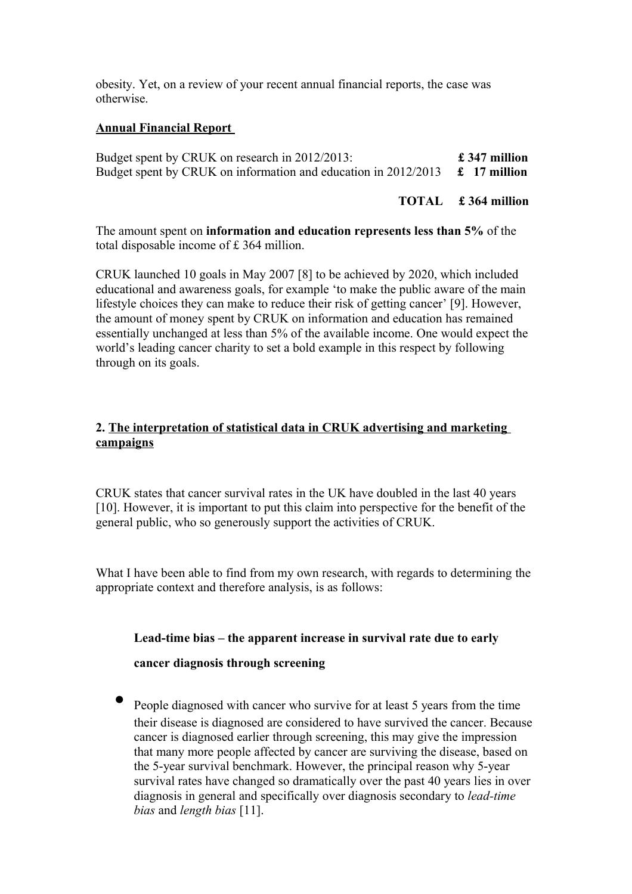obesity. Yet, on a review of your recent annual financial reports, the case was otherwise.

## **Annual Financial Report**

Budget spent by CRUK on research in 2012/2013: **£ 347 million** Budget spent by CRUK on information and education in 2012/2013 **£ 17 million**

**TOTAL £ 364 million**

The amount spent on **information and education represents less than 5%** of the total disposable income of £ 364 million.

CRUK launched 10 goals in May 2007 [8] to be achieved by 2020, which included educational and awareness goals, for example 'to make the public aware of the main lifestyle choices they can make to reduce their risk of getting cancer' [9]. However, the amount of money spent by CRUK on information and education has remained essentially unchanged at less than 5% of the available income. One would expect the world's leading cancer charity to set a bold example in this respect by following through on its goals.

## **2. The interpretation of statistical data in CRUK advertising and marketing campaigns**

CRUK states that cancer survival rates in the UK have doubled in the last 40 years [10]. However, it is important to put this claim into perspective for the benefit of the general public, who so generously support the activities of CRUK.

What I have been able to find from my own research, with regards to determining the appropriate context and therefore analysis, is as follows:

#### **Lead-time bias – the apparent increase in survival rate due to early**

## **cancer diagnosis through screening**

• People diagnosed with cancer who survive for at least 5 years from the time their disease is diagnosed are considered to have survived the cancer. Because cancer is diagnosed earlier through screening, this may give the impression that many more people affected by cancer are surviving the disease, based on the 5-year survival benchmark. However, the principal reason why 5-year survival rates have changed so dramatically over the past 40 years lies in over diagnosis in general and specifically over diagnosis secondary to *lead-time bias* and *length bias* [11].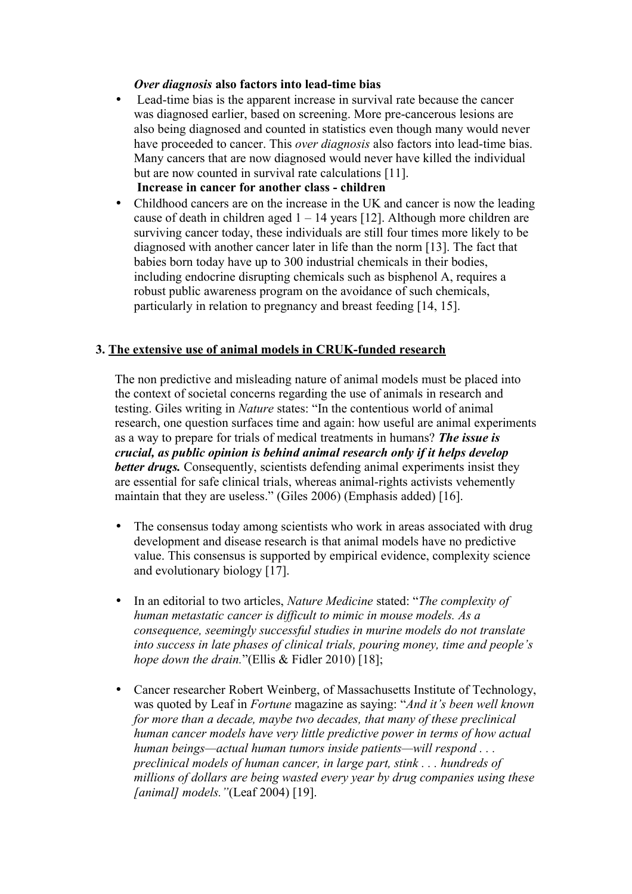#### *Over diagnosis* **also factors into lead-time bias**

- Lead-time bias is the apparent increase in survival rate because the cancer was diagnosed earlier, based on screening. More pre-cancerous lesions are also being diagnosed and counted in statistics even though many would never have proceeded to cancer. This *over diagnosis* also factors into lead-time bias. Many cancers that are now diagnosed would never have killed the individual but are now counted in survival rate calculations [11].  **Increase in cancer for another class - children**
- Childhood cancers are on the increase in the UK and cancer is now the leading cause of death in children aged  $1 - 14$  years [12]. Although more children are surviving cancer today, these individuals are still four times more likely to be diagnosed with another cancer later in life than the norm [13]. The fact that babies born today have up to 300 industrial chemicals in their bodies, including endocrine disrupting chemicals such as bisphenol A, requires a robust public awareness program on the avoidance of such chemicals, particularly in relation to pregnancy and breast feeding [14, 15].

#### **3. The extensive use of animal models in CRUK-funded research**

The non predictive and misleading nature of animal models must be placed into the context of societal concerns regarding the use of animals in research and testing. Giles writing in *Nature* states: "In the contentious world of animal research, one question surfaces time and again: how useful are animal experiments as a way to prepare for trials of medical treatments in humans? *The issue is crucial, as public opinion is behind animal research only if it helps develop better drugs.* Consequently, scientists defending animal experiments insist they are essential for safe clinical trials, whereas animal-rights activists vehemently maintain that they are useless." (Giles 2006) (Emphasis added) [16].

- The consensus today among scientists who work in areas associated with drug development and disease research is that animal models have no predictive value. This consensus is supported by empirical evidence, complexity science and evolutionary biology [17].
- In an editorial to two articles, *Nature Medicine* stated: "*The complexity of human metastatic cancer is difficult to mimic in mouse models. As a consequence, seemingly successful studies in murine models do not translate into success in late phases of clinical trials, pouring money, time and people's hope down the drain.*"(Ellis & Fidler 2010) [18];
- Cancer researcher Robert Weinberg, of Massachusetts Institute of Technology, was quoted by Leaf in *Fortune* magazine as saying: "*And it's been well known for more than a decade, maybe two decades, that many of these preclinical human cancer models have very little predictive power in terms of how actual human beings—actual human tumors inside patients—will respond . . . preclinical models of human cancer, in large part, stink . . . hundreds of millions of dollars are being wasted every year by drug companies using these [animal] models."*(Leaf 2004) [19].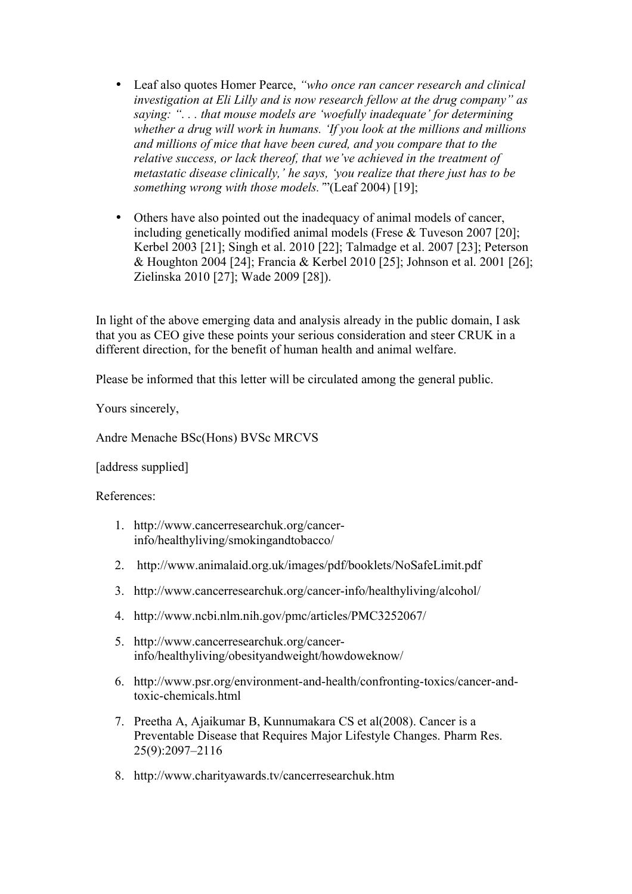- Leaf also quotes Homer Pearce, *"who once ran cancer research and clinical investigation at Eli Lilly and is now research fellow at the drug company" as saying: ". . . that mouse models are 'woefully inadequate' for determining whether a drug will work in humans. 'If you look at the millions and millions and millions of mice that have been cured, and you compare that to the relative success, or lack thereof, that we've achieved in the treatment of metastatic disease clinically,' he says, 'you realize that there just has to be something wrong with those models.'*"(Leaf 2004) [19];
- Others have also pointed out the inadequacy of animal models of cancer, including genetically modified animal models (Frese & Tuveson 2007 [20]; Kerbel 2003 [21]; Singh et al. 2010 [22]; Talmadge et al. 2007 [23]; Peterson & Houghton 2004 [24]; Francia & Kerbel 2010 [25]; Johnson et al. 2001 [26]; Zielinska 2010 [27]; Wade 2009 [28]).

In light of the above emerging data and analysis already in the public domain, I ask that you as CEO give these points your serious consideration and steer CRUK in a different direction, for the benefit of human health and animal welfare.

Please be informed that this letter will be circulated among the general public.

Yours sincerely,

Andre Menache BSc(Hons) BVSc MRCVS

[address supplied]

References:

- 1. [http://www.cancerresearchuk.org/cancer](http://www.cancerresearchuk.org/cancer-info/healthyliving/smokingandtobacco/)[info/healthyliving/smokingandtobacco/](http://www.cancerresearchuk.org/cancer-info/healthyliving/smokingandtobacco/)
- 2. <http://www.animalaid.org.uk/images/pdf/booklets/NoSafeLimit.pdf>
- 3. <http://www.cancerresearchuk.org/cancer-info/healthyliving/alcohol/>
- 4. <http://www.ncbi.nlm.nih.gov/pmc/articles/PMC3252067/>
- 5. [http://www.cancerresearchuk.org/cancer](http://www.cancerresearchuk.org/cancer-info/healthyliving/obesityandweight/howdoweknow/)[info/healthyliving/obesityandweight/howdoweknow/](http://www.cancerresearchuk.org/cancer-info/healthyliving/obesityandweight/howdoweknow/)
- 6. [http://www.psr.org/environment-and-health/confronting-toxics/cancer-and](http://www.psr.org/environment-and-health/confronting-toxics/cancer-and-toxic-chemicals.html)[toxic-chemicals.html](http://www.psr.org/environment-and-health/confronting-toxics/cancer-and-toxic-chemicals.html)
- 7. Preetha A, Ajaikumar B, Kunnumakara CS et al(2008). Cancer is a Preventable Disease that Requires Major Lifestyle Changes. Pharm Res. 25(9):2097–2116
- 8. <http://www.charityawards.tv/cancerresearchuk.htm>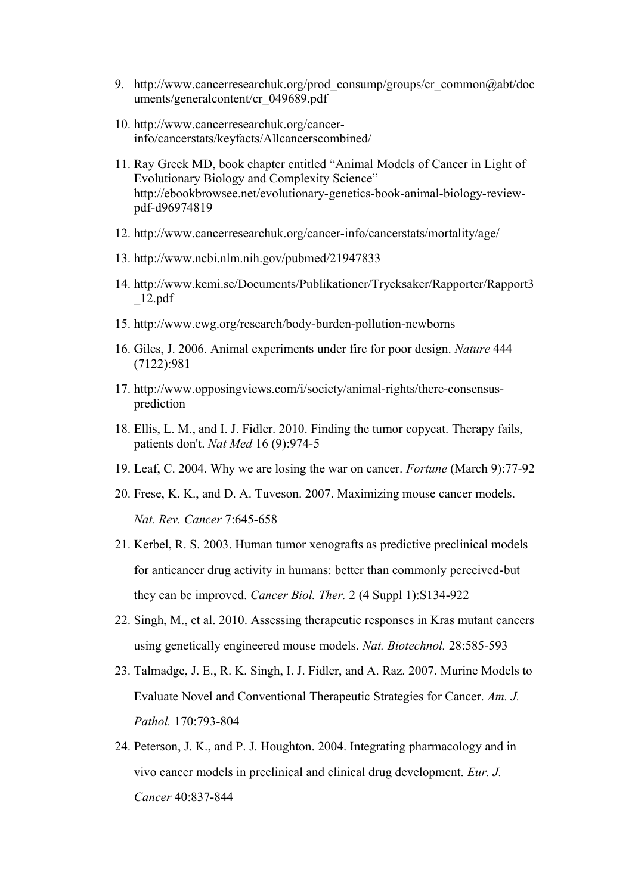- 9. http://www.cancerresearchuk.org/prod\_consump/groups/cr\_common@abt/doc uments/generalcontent/cr\_049689.pdf
- 10. http://www.cancerresearchuk.org/cancerinfo/cancerstats/keyfacts/Allcancerscombined/
- 11. Ray Greek MD, book chapter entitled "Animal Models of Cancer in Light of Evolutionary Biology and Complexity Science" [http://ebookbrowsee.net/evolutionary-genetics-book-animal-biology-review](http://ebookbrowsee.net/evolutionary-genetics-book-animal-biology-review-pdf-d96974819)[pdf-d96974819](http://ebookbrowsee.net/evolutionary-genetics-book-animal-biology-review-pdf-d96974819)
- 12. <http://www.cancerresearchuk.org/cancer-info/cancerstats/mortality/age/>
- 13. http://www.ncbi.nlm.nih.gov/pubmed/21947833
- 14. [http://www.kemi.se/Documents/Publikationer/Trycksaker/Rapporter/Rapport3](http://www.kemi.se/Documents/Publikationer/Trycksaker/Rapporter/Rapport3_12.pdf) [\\_12.pdf](http://www.kemi.se/Documents/Publikationer/Trycksaker/Rapporter/Rapport3_12.pdf)
- 15. <http://www.ewg.org/research/body-burden-pollution-newborns>
- 16. Giles, J. 2006. Animal experiments under fire for poor design. *Nature* 444 (7122):981
- 17. http://www.opposingviews.com/i/society/animal-rights/there-consensusprediction
- 18. Ellis, L. M., and I. J. Fidler. 2010. Finding the tumor copycat. Therapy fails, patients don't. *Nat Med* 16 (9):974-5
- 19. Leaf, C. 2004. Why we are losing the war on cancer. *Fortune* (March 9):77-92
- 20. Frese, K. K., and D. A. Tuveson. 2007. Maximizing mouse cancer models. *Nat. Rev. Cancer* 7:645-658
- 21. Kerbel, R. S. 2003. Human tumor xenografts as predictive preclinical models for anticancer drug activity in humans: better than commonly perceived-but they can be improved. *Cancer Biol. Ther.* 2 (4 Suppl 1):S134-922
- 22. Singh, M., et al. 2010. Assessing therapeutic responses in Kras mutant cancers using genetically engineered mouse models. *Nat. Biotechnol.* 28:585-593
- 23. Talmadge, J. E., R. K. Singh, I. J. Fidler, and A. Raz. 2007. Murine Models to Evaluate Novel and Conventional Therapeutic Strategies for Cancer. *Am. J. Pathol.* 170:793-804
- 24. Peterson, J. K., and P. J. Houghton. 2004. Integrating pharmacology and in vivo cancer models in preclinical and clinical drug development. *Eur. J. Cancer* 40:837-844